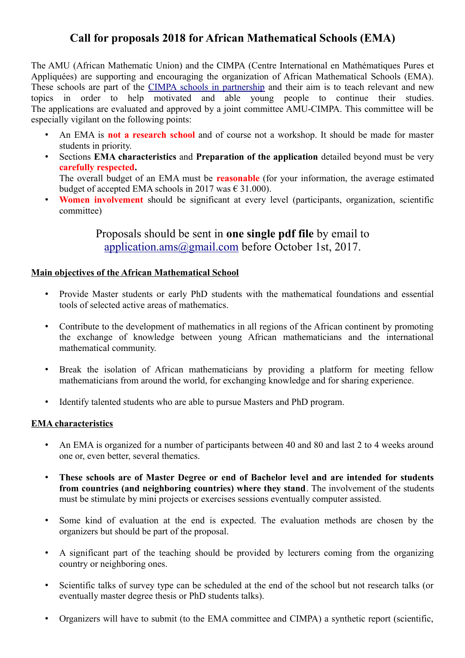# **Call for proposals 2018 for African Mathematical Schools (EMA)**

The AMU (African Mathematic Union) and the CIMPA (Centre International en Mathématiques Pures et Appliquées) are supporting and encouraging the organization of African Mathematical Schools (EMA). These schools are part of the [CIMPA schools in partnership](https://www.cimpa.info/en/node/43) and their aim is to teach relevant and new topics in order to help motivated and able young people to continue their studies. The applications are evaluated and approved by a joint committee AMU-CIMPA. This committee will be especially vigilant on the following points:

- An EMA is **not a research school** and of course not a workshop. It should be made for master students in priority.
- Sections **EMA characteristics** and **Preparation of the application** detailed beyond must be very **carefully respected.** The overall budget of an EMA must be **reasonable** (for your information, the average estimated

budget of accepted EMA schools in 2017 was  $\in$  31.000).

• **Women involvement** should be significant at every level (participants, organization, scientific committee)

> Proposals should be sent in **one single pdf file** by email to [application.ams@gmail.com](mailto:application.ams@gmail.com) before October 1st, 2017.

#### **Main objectives of the African Mathematical School**

- Provide Master students or early PhD students with the mathematical foundations and essential tools of selected active areas of mathematics.
- Contribute to the development of mathematics in all regions of the African continent by promoting the exchange of knowledge between young African mathematicians and the international mathematical community.
- Break the isolation of African mathematicians by providing a platform for meeting fellow mathematicians from around the world, for exchanging knowledge and for sharing experience.
- Identify talented students who are able to pursue Masters and PhD program.

### **EMA characteristics**

- An EMA is organized for a number of participants between 40 and 80 and last 2 to 4 weeks around one or, even better, several thematics.
- **These schools are of Master Degree or end of Bachelor level and are intended for students from countries (and neighboring countries) where they stand**. The involvement of the students must be stimulate by mini projects or exercises sessions eventually computer assisted.
- Some kind of evaluation at the end is expected. The evaluation methods are chosen by the organizers but should be part of the proposal.
- A significant part of the teaching should be provided by lecturers coming from the organizing country or neighboring ones.
- Scientific talks of survey type can be scheduled at the end of the school but not research talks (or eventually master degree thesis or PhD students talks).
- Organizers will have to submit (to the EMA committee and CIMPA) a synthetic report (scientific,